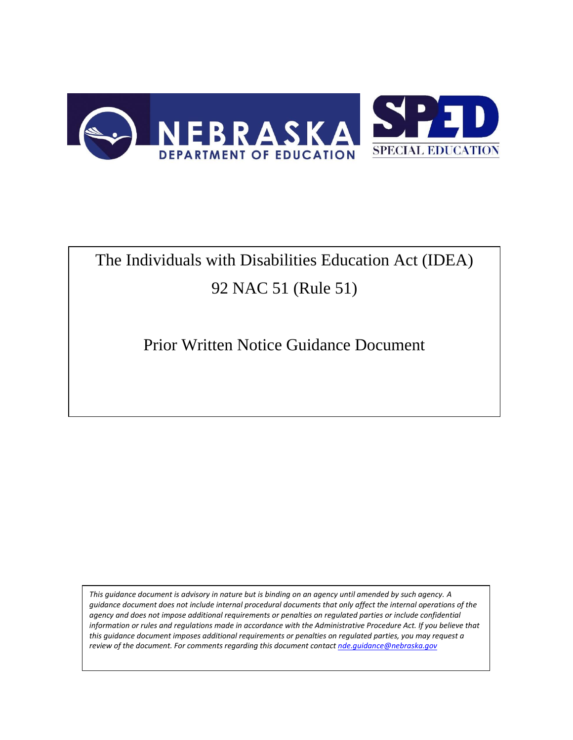

# The Individuals with Disabilities Education Act (IDEA) 92 NAC 51 (Rule 51)

Prior Written Notice Guidance Document

*This guidance document is advisory in nature but is binding on an agency until amended by such agency. A guidance document does not include internal procedural documents that only affect the internal operations of the agency and does not impose additional requirements or penalties on regulated parties or include confidential*  information or rules and regulations made in accordance with the Administrative Procedure Act. If you believe that *this guidance document imposes additional requirements or penalties on regulated parties, you may request a review of the document. For comments regarding this document contac[t nde.guidance@nebraska.gov](mailto:nde.guidance@nebraska.gov)*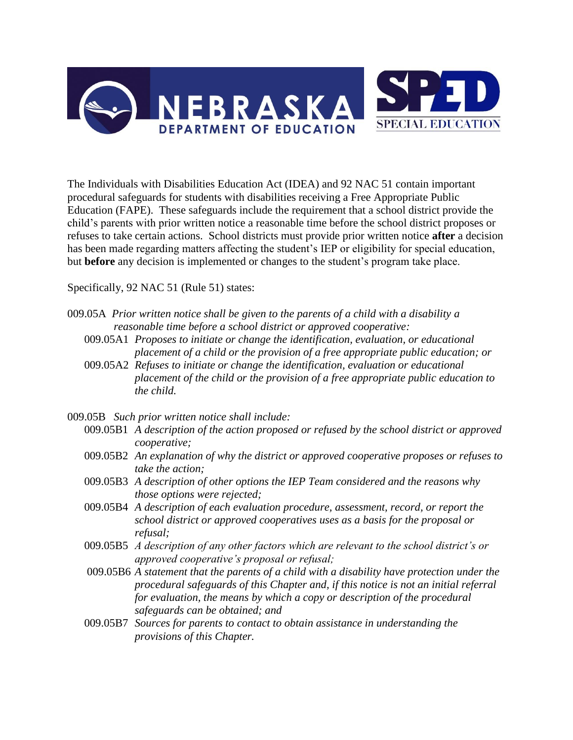

The Individuals with Disabilities Education Act (IDEA) and 92 NAC 51 contain important procedural safeguards for students with disabilities receiving a Free Appropriate Public Education (FAPE). These safeguards include the requirement that a school district provide the child's parents with prior written notice a reasonable time before the school district proposes or refuses to take certain actions. School districts must provide prior written notice **after** a decision has been made regarding matters affecting the student's IEP or eligibility for special education, but **before** any decision is implemented or changes to the student's program take place.

Specifically, 92 NAC 51 (Rule 51) states:

- 009.05A *Prior written notice shall be given to the parents of a child with a disability a reasonable time before a school district or approved cooperative:*
	- 009.05A1 *Proposes to initiate or change the identification, evaluation, or educational placement of a child or the provision of a free appropriate public education; or*
	- 009.05A2 *Refuses to initiate or change the identification, evaluation or educational placement of the child or the provision of a free appropriate public education to the child.*

009.05B *Such prior written notice shall include:*

- 009.05B1 *A description of the action proposed or refused by the school district or approved cooperative;*
- 009.05B2 *An explanation of why the district or approved cooperative proposes or refuses to take the action;*
- 009.05B3 *A description of other options the IEP Team considered and the reasons why those options were rejected;*
- 009.05B4 *A description of each evaluation procedure, assessment, record, or report the school district or approved cooperatives uses as a basis for the proposal or refusal;*
- 009.05B5 *A description of any other factors which are relevant to the school district's or approved cooperative's proposal or refusal;*
- 009.05B6 *A statement that the parents of a child with a disability have protection under the procedural safeguards of this Chapter and, if this notice is not an initial referral for evaluation, the means by which a copy or description of the procedural safeguards can be obtained; and*
- 009.05B7 *Sources for parents to contact to obtain assistance in understanding the provisions of this Chapter.*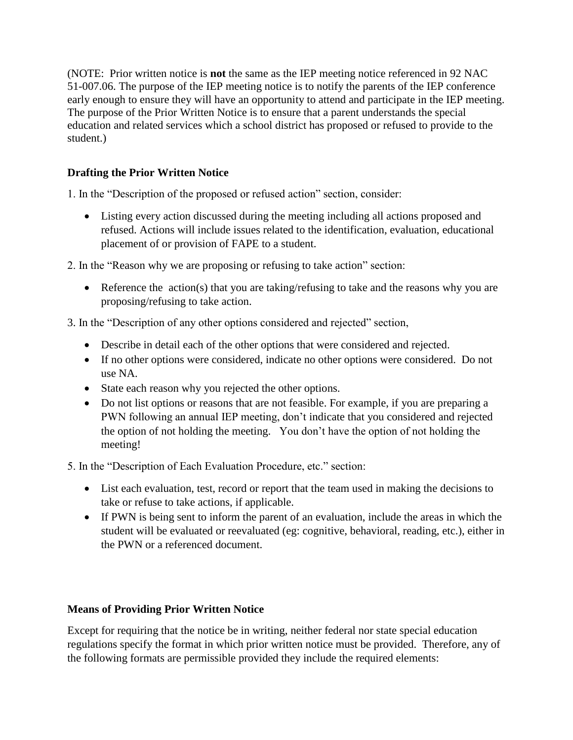(NOTE: Prior written notice is **not** the same as the IEP meeting notice referenced in 92 NAC 51-007.06. The purpose of the IEP meeting notice is to notify the parents of the IEP conference early enough to ensure they will have an opportunity to attend and participate in the IEP meeting. The purpose of the Prior Written Notice is to ensure that a parent understands the special education and related services which a school district has proposed or refused to provide to the student.)

# **Drafting the Prior Written Notice**

1. In the "Description of the proposed or refused action" section, consider:

 Listing every action discussed during the meeting including all actions proposed and refused. Actions will include issues related to the identification, evaluation, educational placement of or provision of FAPE to a student.

2. In the "Reason why we are proposing or refusing to take action" section:

- Reference the action(s) that you are taking/refusing to take and the reasons why you are proposing/refusing to take action.
- 3. In the "Description of any other options considered and rejected" section,
	- Describe in detail each of the other options that were considered and rejected.
	- If no other options were considered, indicate no other options were considered. Do not use NA.
	- State each reason why you rejected the other options.
	- Do not list options or reasons that are not feasible. For example, if you are preparing a PWN following an annual IEP meeting, don't indicate that you considered and rejected the option of not holding the meeting. You don't have the option of not holding the meeting!

5. In the "Description of Each Evaluation Procedure, etc." section:

- List each evaluation, test, record or report that the team used in making the decisions to take or refuse to take actions, if applicable.
- If PWN is being sent to inform the parent of an evaluation, include the areas in which the student will be evaluated or reevaluated (eg: cognitive, behavioral, reading, etc.), either in the PWN or a referenced document.

# **Means of Providing Prior Written Notice**

Except for requiring that the notice be in writing, neither federal nor state special education regulations specify the format in which prior written notice must be provided. Therefore, any of the following formats are permissible provided they include the required elements: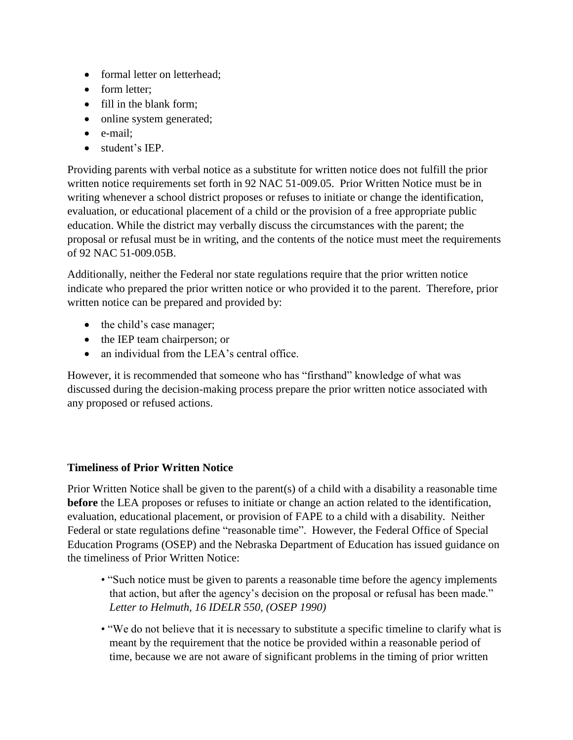- formal letter on letterhead;
- form letter:
- fill in the blank form:
- online system generated;
- e-mail;
- student's IEP.

Providing parents with verbal notice as a substitute for written notice does not fulfill the prior written notice requirements set forth in 92 NAC 51-009.05. Prior Written Notice must be in writing whenever a school district proposes or refuses to initiate or change the identification, evaluation, or educational placement of a child or the provision of a free appropriate public education. While the district may verbally discuss the circumstances with the parent; the proposal or refusal must be in writing, and the contents of the notice must meet the requirements of 92 NAC 51-009.05B.

Additionally, neither the Federal nor state regulations require that the prior written notice indicate who prepared the prior written notice or who provided it to the parent. Therefore, prior written notice can be prepared and provided by:

- the child's case manager;
- the IEP team chairperson; or
- an individual from the LEA's central office.

However, it is recommended that someone who has "firsthand" knowledge of what was discussed during the decision-making process prepare the prior written notice associated with any proposed or refused actions.

# **Timeliness of Prior Written Notice**

Prior Written Notice shall be given to the parent(s) of a child with a disability a reasonable time **before** the LEA proposes or refuses to initiate or change an action related to the identification, evaluation, educational placement, or provision of FAPE to a child with a disability. Neither Federal or state regulations define "reasonable time". However, the Federal Office of Special Education Programs (OSEP) and the Nebraska Department of Education has issued guidance on the timeliness of Prior Written Notice:

- "Such notice must be given to parents a reasonable time before the agency implements that action, but after the agency's decision on the proposal or refusal has been made." *Letter to Helmuth, 16 IDELR 550, (OSEP 1990)*
- "We do not believe that it is necessary to substitute a specific timeline to clarify what is meant by the requirement that the notice be provided within a reasonable period of time, because we are not aware of significant problems in the timing of prior written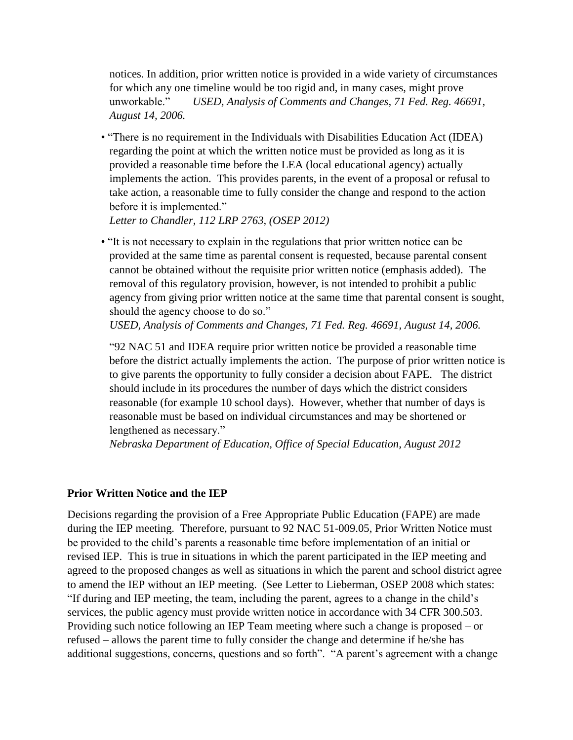notices. In addition, prior written notice is provided in a wide variety of circumstances for which any one timeline would be too rigid and, in many cases, might prove unworkable." *USED, Analysis of Comments and Changes, 71 Fed. Reg. 46691, August 14, 2006.* 

• "There is no requirement in the Individuals with Disabilities Education Act (IDEA) regarding the point at which the written notice must be provided as long as it is provided a reasonable time before the LEA (local educational agency) actually implements the action. This provides parents, in the event of a proposal or refusal to take action, a reasonable time to fully consider the change and respond to the action before it is implemented."

*Letter to Chandler, 112 LRP 2763, (OSEP 2012)*

• "It is not necessary to explain in the regulations that prior written notice can be provided at the same time as parental consent is requested, because parental consent cannot be obtained without the requisite prior written notice (emphasis added). The removal of this regulatory provision, however, is not intended to prohibit a public agency from giving prior written notice at the same time that parental consent is sought, should the agency choose to do so."

*USED, Analysis of Comments and Changes, 71 Fed. Reg. 46691, August 14, 2006.*

"92 NAC 51 and IDEA require prior written notice be provided a reasonable time before the district actually implements the action. The purpose of prior written notice is to give parents the opportunity to fully consider a decision about FAPE. The district should include in its procedures the number of days which the district considers reasonable (for example 10 school days). However, whether that number of days is reasonable must be based on individual circumstances and may be shortened or lengthened as necessary."

*Nebraska Department of Education, Office of Special Education, August 2012* 

#### **Prior Written Notice and the IEP**

Decisions regarding the provision of a Free Appropriate Public Education (FAPE) are made during the IEP meeting. Therefore, pursuant to 92 NAC 51-009.05, Prior Written Notice must be provided to the child's parents a reasonable time before implementation of an initial or revised IEP. This is true in situations in which the parent participated in the IEP meeting and agreed to the proposed changes as well as situations in which the parent and school district agree to amend the IEP without an IEP meeting. (See Letter to Lieberman, OSEP 2008 which states: "If during and IEP meeting, the team, including the parent, agrees to a change in the child's services, the public agency must provide written notice in accordance with 34 CFR 300.503. Providing such notice following an IEP Team meeting where such a change is proposed – or refused – allows the parent time to fully consider the change and determine if he/she has additional suggestions, concerns, questions and so forth". "A parent's agreement with a change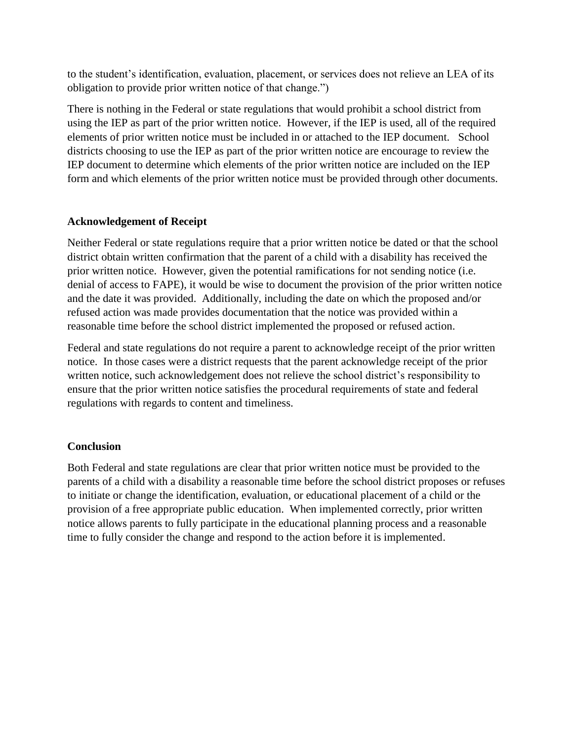to the student's identification, evaluation, placement, or services does not relieve an LEA of its obligation to provide prior written notice of that change.")

There is nothing in the Federal or state regulations that would prohibit a school district from using the IEP as part of the prior written notice. However, if the IEP is used, all of the required elements of prior written notice must be included in or attached to the IEP document. School districts choosing to use the IEP as part of the prior written notice are encourage to review the IEP document to determine which elements of the prior written notice are included on the IEP form and which elements of the prior written notice must be provided through other documents.

# **Acknowledgement of Receipt**

Neither Federal or state regulations require that a prior written notice be dated or that the school district obtain written confirmation that the parent of a child with a disability has received the prior written notice. However, given the potential ramifications for not sending notice (i.e. denial of access to FAPE), it would be wise to document the provision of the prior written notice and the date it was provided. Additionally, including the date on which the proposed and/or refused action was made provides documentation that the notice was provided within a reasonable time before the school district implemented the proposed or refused action.

Federal and state regulations do not require a parent to acknowledge receipt of the prior written notice. In those cases were a district requests that the parent acknowledge receipt of the prior written notice, such acknowledgement does not relieve the school district's responsibility to ensure that the prior written notice satisfies the procedural requirements of state and federal regulations with regards to content and timeliness.

# **Conclusion**

Both Federal and state regulations are clear that prior written notice must be provided to the parents of a child with a disability a reasonable time before the school district proposes or refuses to initiate or change the identification, evaluation, or educational placement of a child or the provision of a free appropriate public education. When implemented correctly, prior written notice allows parents to fully participate in the educational planning process and a reasonable time to fully consider the change and respond to the action before it is implemented.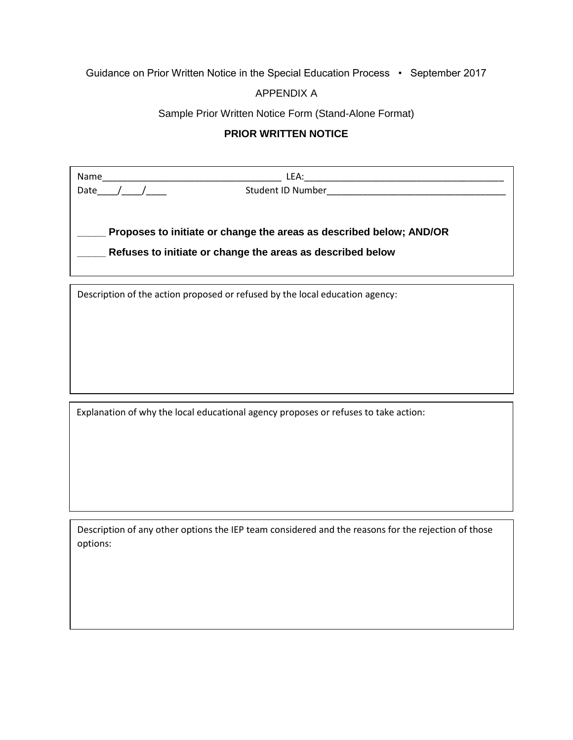# Guidance on Prior Written Notice in the Special Education Process • September 2017

### APPENDIX A

#### Sample Prior Written Notice Form (Stand-Alone Format)

#### **PRIOR WRITTEN NOTICE**

| Name                                                                | LEA:              |  |
|---------------------------------------------------------------------|-------------------|--|
| Date                                                                | Student ID Number |  |
|                                                                     |                   |  |
| Proposes to initiate or change the areas as described below; AND/OR |                   |  |
| Refuses to initiate or change the areas as described below          |                   |  |
|                                                                     |                   |  |

Description of the action proposed or refused by the local education agency:

Explanation of why the local educational agency proposes or refuses to take action:

Description of any other options the IEP team considered and the reasons for the rejection of those options: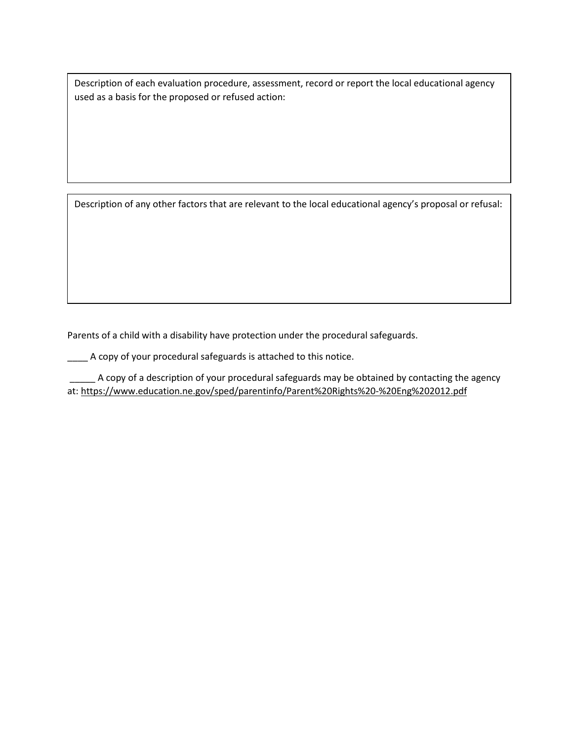Description of each evaluation procedure, assessment, record or report the local educational agency used as a basis for the proposed or refused action:

Description of any other factors that are relevant to the local educational agency's proposal or refusal:

Parents of a child with a disability have protection under the procedural safeguards.

\_\_\_\_ A copy of your procedural safeguards is attached to this notice.

A copy of a description of your procedural safeguards may be obtained by contacting the agency at:<https://www.education.ne.gov/sped/parentinfo/Parent%20Rights%20-%20Eng%202012.pdf>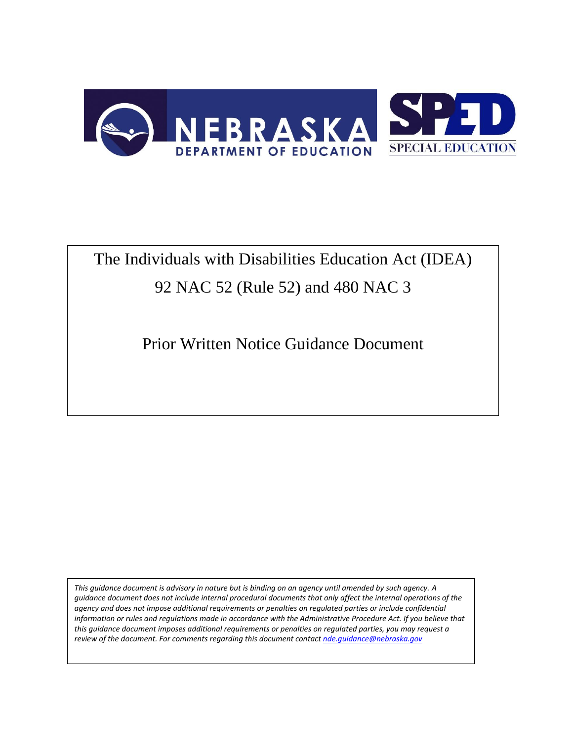

# The Individuals with Disabilities Education Act (IDEA) 92 NAC 52 (Rule 52) and 480 NAC 3

Prior Written Notice Guidance Document

*This guidance document is advisory in nature but is binding on an agency until amended by such agency. A guidance document does not include internal procedural documents that only affect the internal operations of the agency and does not impose additional requirements or penalties on regulated parties or include confidential*  information or rules and regulations made in accordance with the Administrative Procedure Act. If you believe that *this guidance document imposes additional requirements or penalties on regulated parties, you may request a review of the document. For comments regarding this document contac[t nde.guidance@nebraska.gov](mailto:nde.guidance@nebraska.gov)*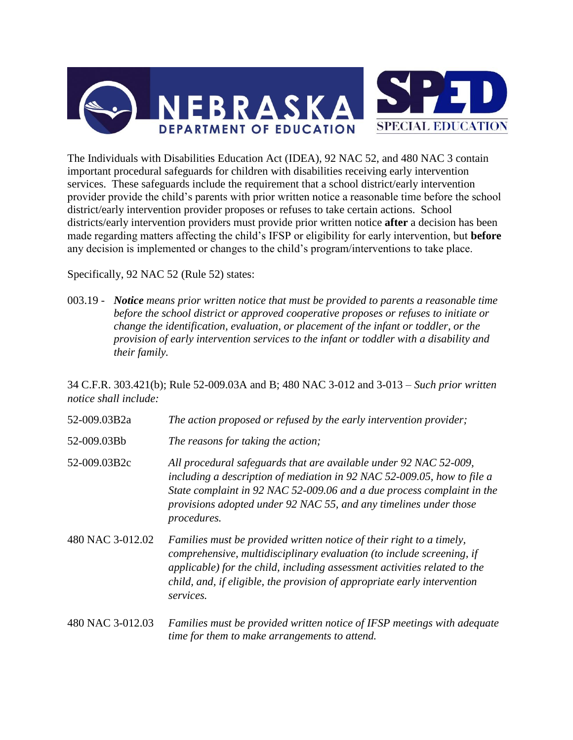

The Individuals with Disabilities Education Act (IDEA), 92 NAC 52, and 480 NAC 3 contain important procedural safeguards for children with disabilities receiving early intervention services. These safeguards include the requirement that a school district/early intervention provider provide the child's parents with prior written notice a reasonable time before the school district/early intervention provider proposes or refuses to take certain actions. School districts/early intervention providers must provide prior written notice **after** a decision has been made regarding matters affecting the child's IFSP or eligibility for early intervention, but **before** any decision is implemented or changes to the child's program/interventions to take place.

Specifically, 92 NAC 52 (Rule 52) states:

003.19 - *Notice means prior written notice that must be provided to parents a reasonable time before the school district or approved cooperative proposes or refuses to initiate or change the identification, evaluation, or placement of the infant or toddler, or the provision of early intervention services to the infant or toddler with a disability and their family.*

34 C.F.R. 303.421(b); Rule 52-009.03A and B; 480 NAC 3-012 and 3-013 – *Such prior written notice shall include:*

- 52-009.03B2a *The action proposed or refused by the early intervention provider;*
- 52-009.03Bb *The reasons for taking the action;*
- 52-009.03B2c *All procedural safeguards that are available under 92 NAC 52-009, including a description of mediation in 92 NAC 52-009.05, how to file a State complaint in 92 NAC 52-009.06 and a due process complaint in the provisions adopted under 92 NAC 55, and any timelines under those procedures.*
- 480 NAC 3-012.02 *Families must be provided written notice of their right to a timely, comprehensive, multidisciplinary evaluation (to include screening, if applicable) for the child, including assessment activities related to the child, and, if eligible, the provision of appropriate early intervention services.*
- 480 NAC 3-012.03 *Families must be provided written notice of IFSP meetings with adequate time for them to make arrangements to attend.*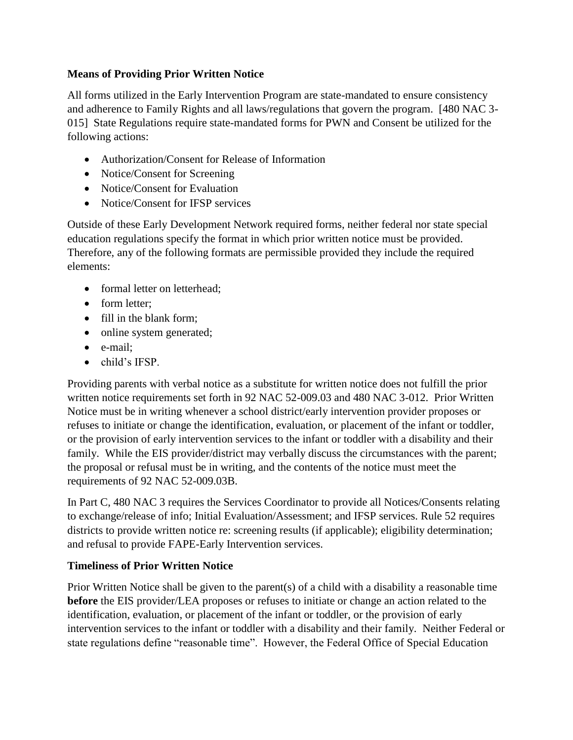# **Means of Providing Prior Written Notice**

All forms utilized in the Early Intervention Program are state-mandated to ensure consistency and adherence to Family Rights and all laws/regulations that govern the program. [480 NAC 3- 015] State Regulations require state-mandated forms for PWN and Consent be utilized for the following actions:

- Authorization/Consent for Release of Information
- Notice/Consent for Screening
- Notice/Consent for Evaluation
- Notice/Consent for IFSP services

Outside of these Early Development Network required forms, neither federal nor state special education regulations specify the format in which prior written notice must be provided. Therefore, any of the following formats are permissible provided they include the required elements:

- formal letter on letterhead:
- form letter:
- fill in the blank form;
- online system generated;
- e-mail;
- child's IFSP.

Providing parents with verbal notice as a substitute for written notice does not fulfill the prior written notice requirements set forth in 92 NAC 52-009.03 and 480 NAC 3-012. Prior Written Notice must be in writing whenever a school district/early intervention provider proposes or refuses to initiate or change the identification, evaluation, or placement of the infant or toddler, or the provision of early intervention services to the infant or toddler with a disability and their family. While the EIS provider/district may verbally discuss the circumstances with the parent; the proposal or refusal must be in writing, and the contents of the notice must meet the requirements of 92 NAC 52-009.03B.

In Part C, 480 NAC 3 requires the Services Coordinator to provide all Notices/Consents relating to exchange/release of info; Initial Evaluation/Assessment; and IFSP services. Rule 52 requires districts to provide written notice re: screening results (if applicable); eligibility determination; and refusal to provide FAPE-Early Intervention services.

# **Timeliness of Prior Written Notice**

Prior Written Notice shall be given to the parent(s) of a child with a disability a reasonable time **before** the EIS provider/LEA proposes or refuses to initiate or change an action related to the identification, evaluation, or placement of the infant or toddler, or the provision of early intervention services to the infant or toddler with a disability and their family. Neither Federal or state regulations define "reasonable time". However, the Federal Office of Special Education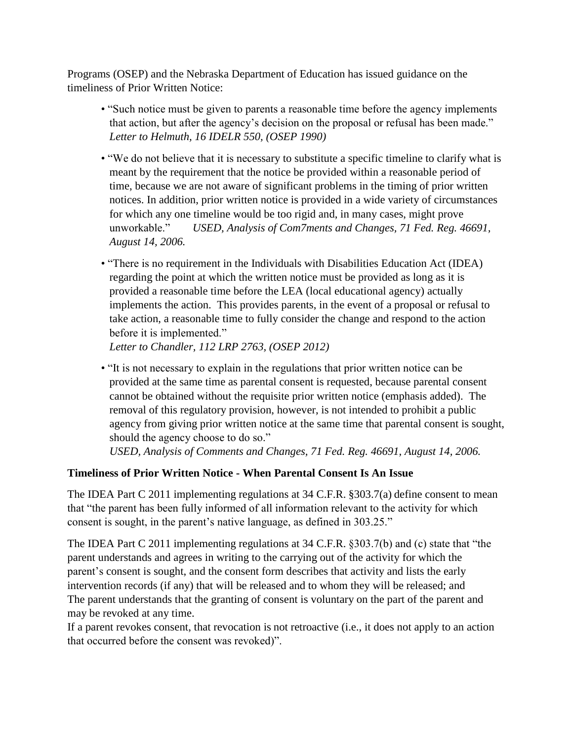Programs (OSEP) and the Nebraska Department of Education has issued guidance on the timeliness of Prior Written Notice:

- "Such notice must be given to parents a reasonable time before the agency implements that action, but after the agency's decision on the proposal or refusal has been made." *Letter to Helmuth, 16 IDELR 550, (OSEP 1990)*
- "We do not believe that it is necessary to substitute a specific timeline to clarify what is meant by the requirement that the notice be provided within a reasonable period of time, because we are not aware of significant problems in the timing of prior written notices. In addition, prior written notice is provided in a wide variety of circumstances for which any one timeline would be too rigid and, in many cases, might prove unworkable." *USED, Analysis of Com7ments and Changes, 71 Fed. Reg. 46691, August 14, 2006.*
- "There is no requirement in the Individuals with Disabilities Education Act (IDEA) regarding the point at which the written notice must be provided as long as it is provided a reasonable time before the LEA (local educational agency) actually implements the action. This provides parents, in the event of a proposal or refusal to take action, a reasonable time to fully consider the change and respond to the action before it is implemented."

*Letter to Chandler, 112 LRP 2763, (OSEP 2012)*

• "It is not necessary to explain in the regulations that prior written notice can be provided at the same time as parental consent is requested, because parental consent cannot be obtained without the requisite prior written notice (emphasis added). The removal of this regulatory provision, however, is not intended to prohibit a public agency from giving prior written notice at the same time that parental consent is sought, should the agency choose to do so."

*USED, Analysis of Comments and Changes, 71 Fed. Reg. 46691, August 14, 2006.*

# **Timeliness of Prior Written Notice - When Parental Consent Is An Issue**

The IDEA Part C 2011 implementing regulations at 34 C.F.R. §303.7(a) define consent to mean that "the parent has been fully informed of all information relevant to the activity for which consent is sought, in the parent's native language, as defined in 303.25."

The IDEA Part C 2011 implementing regulations at 34 C.F.R. §303.7(b) and (c) state that "the parent understands and agrees in writing to the carrying out of the activity for which the parent's consent is sought, and the consent form describes that activity and lists the early intervention records (if any) that will be released and to whom they will be released; and The parent understands that the granting of consent is voluntary on the part of the parent and may be revoked at any time.

If a parent revokes consent, that revocation is not retroactive (i.e., it does not apply to an action that occurred before the consent was revoked)".